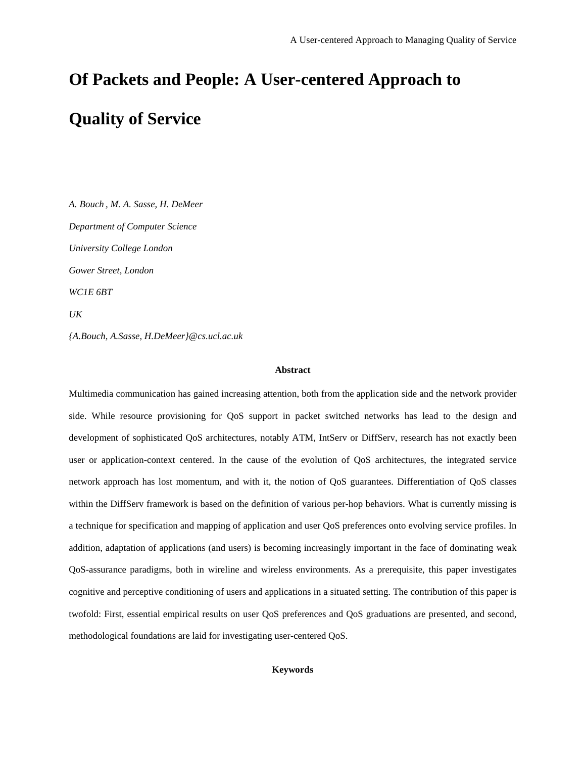# **Of Packets and People: A User-centered Approach to**

# **Quality of Service**

*A. Bouch , M. A. Sasse, H. DeMeer Department of Computer Science University College London Gower Street, London WC1E 6BT UK*

*{A.Bouch, A.Sasse, H.DeMeer}@cs.ucl.ac.uk*

#### **Abstract**

Multimedia communication has gained increasing attention, both from the application side and the network provider side. While resource provisioning for QoS support in packet switched networks has lead to the design and development of sophisticated QoS architectures, notably ATM, IntServ or DiffServ, research has not exactly been user or application-context centered. In the cause of the evolution of QoS architectures, the integrated service network approach has lost momentum, and with it, the notion of QoS guarantees. Differentiation of QoS classes within the DiffServ framework is based on the definition of various per-hop behaviors. What is currently missing is a technique for specification and mapping of application and user QoS preferences onto evolving service profiles. In addition, adaptation of applications (and users) is becoming increasingly important in the face of dominating weak QoS-assurance paradigms, both in wireline and wireless environments. As a prerequisite, this paper investigates cognitive and perceptive conditioning of users and applications in a situated setting. The contribution of this paper is twofold: First, essential empirical results on user QoS preferences and QoS graduations are presented, and second, methodological foundations are laid for investigating user-centered QoS.

# **Keywords**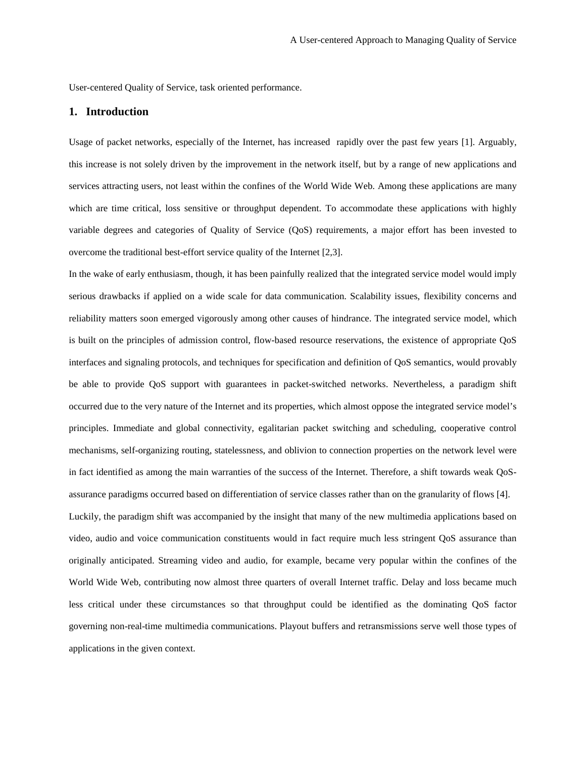User-centered Quality of Service, task oriented performance.

# **1. Introduction**

Usage of packet networks, especially of the Internet, has increased rapidly over the past few years [1]. Arguably, this increase is not solely driven by the improvement in the network itself, but by a range of new applications and services attracting users, not least within the confines of the World Wide Web. Among these applications are many which are time critical, loss sensitive or throughput dependent. To accommodate these applications with highly variable degrees and categories of Quality of Service (QoS) requirements, a major effort has been invested to overcome the traditional best-effort service quality of the Internet [2,3].

In the wake of early enthusiasm, though, it has been painfully realized that the integrated service model would imply serious drawbacks if applied on a wide scale for data communication. Scalability issues, flexibility concerns and reliability matters soon emerged vigorously among other causes of hindrance. The integrated service model, which is built on the principles of admission control, flow-based resource reservations, the existence of appropriate QoS interfaces and signaling protocols, and techniques for specification and definition of QoS semantics, would provably be able to provide QoS support with guarantees in packet-switched networks. Nevertheless, a paradigm shift occurred due to the very nature of the Internet and its properties, which almost oppose the integrated service model's principles. Immediate and global connectivity, egalitarian packet switching and scheduling, cooperative control mechanisms, self-organizing routing, statelessness, and oblivion to connection properties on the network level were in fact identified as among the main warranties of the success of the Internet. Therefore, a shift towards weak QoSassurance paradigms occurred based on differentiation of service classes rather than on the granularity of flows [4]. Luckily, the paradigm shift was accompanied by the insight that many of the new multimedia applications based on video, audio and voice communication constituents would in fact require much less stringent QoS assurance than originally anticipated. Streaming video and audio, for example, became very popular within the confines of the World Wide Web, contributing now almost three quarters of overall Internet traffic. Delay and loss became much less critical under these circumstances so that throughput could be identified as the dominating QoS factor governing non-real-time multimedia communications. Playout buffers and retransmissions serve well those types of applications in the given context.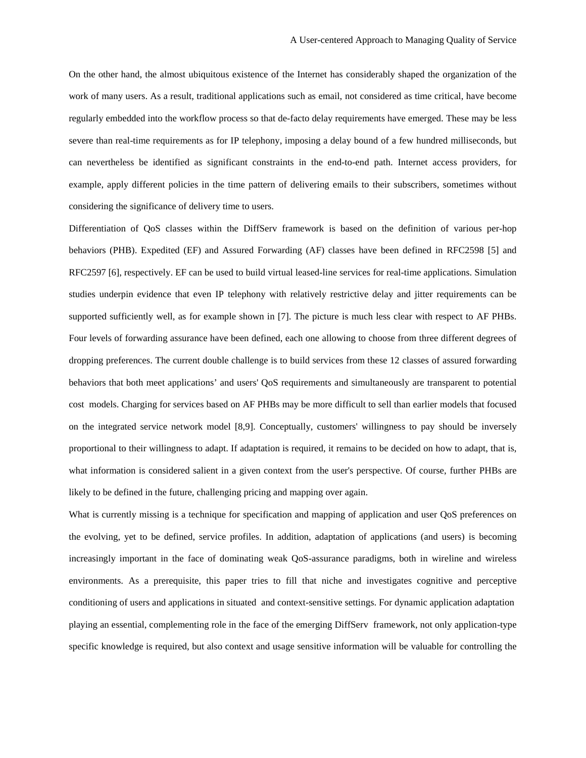On the other hand, the almost ubiquitous existence of the Internet has considerably shaped the organization of the work of many users. As a result, traditional applications such as email, not considered as time critical, have become regularly embedded into the workflow process so that de-facto delay requirements have emerged. These may be less severe than real-time requirements as for IP telephony, imposing a delay bound of a few hundred milliseconds, but can nevertheless be identified as significant constraints in the end-to-end path. Internet access providers, for example, apply different policies in the time pattern of delivering emails to their subscribers, sometimes without considering the significance of delivery time to users.

Differentiation of QoS classes within the DiffServ framework is based on the definition of various per-hop behaviors (PHB). Expedited (EF) and Assured Forwarding (AF) classes have been defined in RFC2598 [5] and RFC2597 [6], respectively. EF can be used to build virtual leased-line services for real-time applications. Simulation studies underpin evidence that even IP telephony with relatively restrictive delay and jitter requirements can be supported sufficiently well, as for example shown in [7]. The picture is much less clear with respect to AF PHBs. Four levels of forwarding assurance have been defined, each one allowing to choose from three different degrees of dropping preferences. The current double challenge is to build services from these 12 classes of assured forwarding behaviors that both meet applications' and users' QoS requirements and simultaneously are transparent to potential cost models. Charging for services based on AF PHBs may be more difficult to sell than earlier models that focused on the integrated service network model [8,9]. Conceptually, customers' willingness to pay should be inversely proportional to their willingness to adapt. If adaptation is required, it remains to be decided on how to adapt, that is, what information is considered salient in a given context from the user's perspective. Of course, further PHBs are likely to be defined in the future, challenging pricing and mapping over again.

What is currently missing is a technique for specification and mapping of application and user QoS preferences on the evolving, yet to be defined, service profiles. In addition, adaptation of applications (and users) is becoming increasingly important in the face of dominating weak QoS-assurance paradigms, both in wireline and wireless environments. As a prerequisite, this paper tries to fill that niche and investigates cognitive and perceptive conditioning of users and applications in situated and context-sensitive settings. For dynamic application adaptation playing an essential, complementing role in the face of the emerging DiffServ framework, not only application-type specific knowledge is required, but also context and usage sensitive information will be valuable for controlling the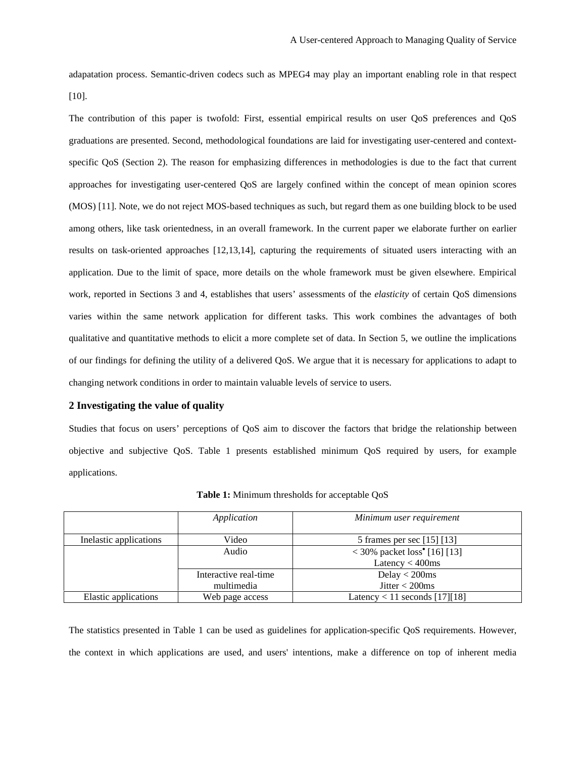adapatation process. Semantic-driven codecs such as MPEG4 may play an important enabling role in that respect [10].

The contribution of this paper is twofold: First, essential empirical results on user QoS preferences and QoS graduations are presented. Second, methodological foundations are laid for investigating user-centered and contextspecific QoS (Section 2). The reason for emphasizing differences in methodologies is due to the fact that current approaches for investigating user-centered QoS are largely confined within the concept of mean opinion scores (MOS) [11]. Note, we do not reject MOS-based techniques as such, but regard them as one building block to be used among others, like task orientedness, in an overall framework. In the current paper we elaborate further on earlier results on task-oriented approaches [12,13,14], capturing the requirements of situated users interacting with an application. Due to the limit of space, more details on the whole framework must be given elsewhere. Empirical work, reported in Sections 3 and 4, establishes that users' assessments of the *elasticity* of certain QoS dimensions varies within the same network application for different tasks. This work combines the advantages of both qualitative and quantitative methods to elicit a more complete set of data. In Section 5, we outline the implications of our findings for defining the utility of a delivered QoS. We argue that it is necessary for applications to adapt to changing network conditions in order to maintain valuable levels of service to users.

# **2 Investigating the value of quality**

Studies that focus on users' perceptions of QoS aim to discover the factors that bridge the relationship between objective and subjective QoS. Table 1 presents established minimum QoS required by users, for example applications.

|                        | Application           | Minimum user requirement                   |
|------------------------|-----------------------|--------------------------------------------|
| Inelastic applications | Video                 | 5 frames per sec [15] [13]                 |
|                        | Audio                 | $<$ 30% packet loss <sup>•</sup> [16] [13] |
|                        |                       | Latency $<$ 400ms                          |
|                        | Interactive real-time | Delay $<$ 200ms                            |
|                        | multimedia            | Jitter $<$ 200 $ms$                        |
| Elastic applications   | Web page access       | Latency $<$ 11 seconds [17][18]            |

**Table 1:** Minimum thresholds for acceptable QoS

The statistics presented in Table 1 can be used as guidelines for application-specific QoS requirements. However, the context in which applications are used, and users' intentions, make a difference on top of inherent media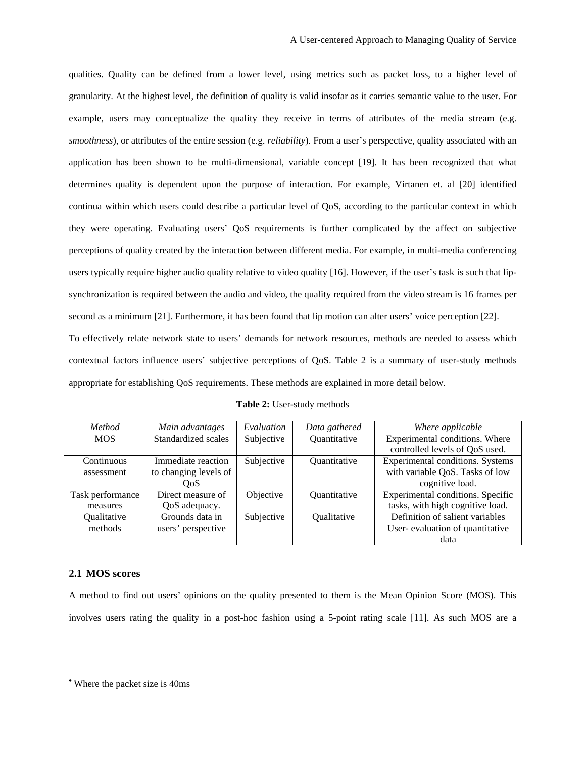qualities. Quality can be defined from a lower level, using metrics such as packet loss, to a higher level of granularity. At the highest level, the definition of quality is valid insofar as it carries semantic value to the user. For example, users may conceptualize the quality they receive in terms of attributes of the media stream (e.g. *smoothness*), or attributes of the entire session (e.g. *reliability*). From a user's perspective, quality associated with an application has been shown to be multi-dimensional, variable concept [19]. It has been recognized that what determines quality is dependent upon the purpose of interaction. For example, Virtanen et. al [20] identified continua within which users could describe a particular level of QoS, according to the particular context in which they were operating. Evaluating users' QoS requirements is further complicated by the affect on subjective perceptions of quality created by the interaction between different media. For example, in multi-media conferencing users typically require higher audio quality relative to video quality [16]. However, if the user's task is such that lipsynchronization is required between the audio and video, the quality required from the video stream is 16 frames per second as a minimum [21]. Furthermore, it has been found that lip motion can alter users' voice perception [22]. To effectively relate network state to users' demands for network resources, methods are needed to assess which contextual factors influence users' subjective perceptions of QoS. Table 2 is a summary of user-study methods appropriate for establishing QoS requirements. These methods are explained in more detail below.

| Method             | Main advantages       | Evaluation | Data gathered       | Where applicable                  |  |
|--------------------|-----------------------|------------|---------------------|-----------------------------------|--|
| <b>MOS</b>         | Standardized scales   | Subjective | Quantitative        | Experimental conditions. Where    |  |
|                    |                       |            |                     | controlled levels of QoS used.    |  |
| Continuous         | Immediate reaction    | Subjective | <b>Ouantitative</b> | Experimental conditions. Systems  |  |
| assessment         | to changing levels of |            |                     | with variable QoS. Tasks of low   |  |
|                    | OoS                   |            |                     | cognitive load.                   |  |
| Task performance   | Direct measure of     | Objective  | Quantitative        | Experimental conditions. Specific |  |
| measures           | QoS adequacy.         |            |                     | tasks, with high cognitive load.  |  |
| <b>Oualitative</b> | Grounds data in       | Subjective | <b>Oualitative</b>  | Definition of salient variables   |  |
| methods            | users' perspective    |            |                     | User-evaluation of quantitative   |  |
|                    |                       |            |                     | data                              |  |

# **2.1 MOS scores**

-

A method to find out users' opinions on the quality presented to them is the Mean Opinion Score (MOS). This involves users rating the quality in a post-hoc fashion using a 5-point rating scale [11]. As such MOS are a

<sup>•</sup> Where the packet size is 40ms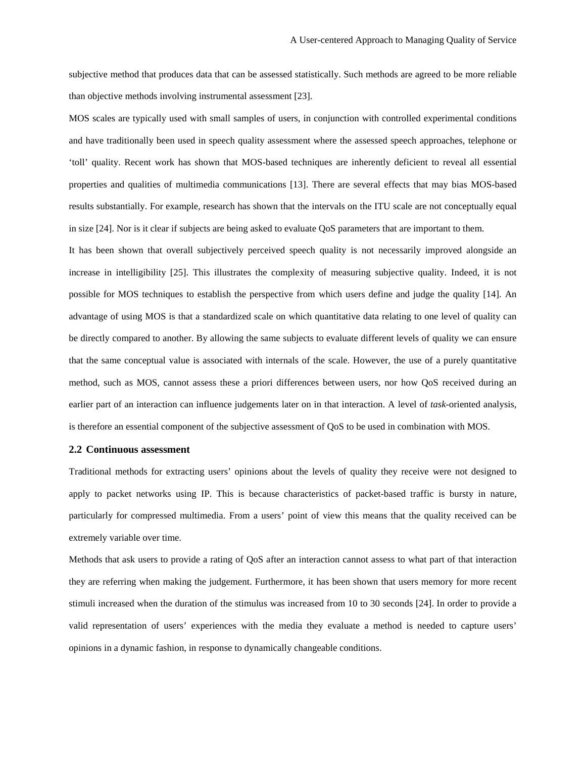subjective method that produces data that can be assessed statistically. Such methods are agreed to be more reliable than objective methods involving instrumental assessment [23].

MOS scales are typically used with small samples of users, in conjunction with controlled experimental conditions and have traditionally been used in speech quality assessment where the assessed speech approaches, telephone or 'toll' quality. Recent work has shown that MOS-based techniques are inherently deficient to reveal all essential properties and qualities of multimedia communications [13]. There are several effects that may bias MOS-based results substantially. For example, research has shown that the intervals on the ITU scale are not conceptually equal in size [24]. Nor is it clear if subjects are being asked to evaluate QoS parameters that are important to them.

It has been shown that overall subjectively perceived speech quality is not necessarily improved alongside an increase in intelligibility [25]. This illustrates the complexity of measuring subjective quality. Indeed, it is not possible for MOS techniques to establish the perspective from which users define and judge the quality [14]. An advantage of using MOS is that a standardized scale on which quantitative data relating to one level of quality can be directly compared to another. By allowing the same subjects to evaluate different levels of quality we can ensure that the same conceptual value is associated with internals of the scale. However, the use of a purely quantitative method, such as MOS, cannot assess these a priori differences between users, nor how QoS received during an earlier part of an interaction can influence judgements later on in that interaction. A level of *task*-oriented analysis, is therefore an essential component of the subjective assessment of QoS to be used in combination with MOS.

#### **2.2 Continuous assessment**

Traditional methods for extracting users' opinions about the levels of quality they receive were not designed to apply to packet networks using IP. This is because characteristics of packet-based traffic is bursty in nature, particularly for compressed multimedia. From a users' point of view this means that the quality received can be extremely variable over time.

Methods that ask users to provide a rating of QoS after an interaction cannot assess to what part of that interaction they are referring when making the judgement. Furthermore, it has been shown that users memory for more recent stimuli increased when the duration of the stimulus was increased from 10 to 30 seconds [24]. In order to provide a valid representation of users' experiences with the media they evaluate a method is needed to capture users' opinions in a dynamic fashion, in response to dynamically changeable conditions.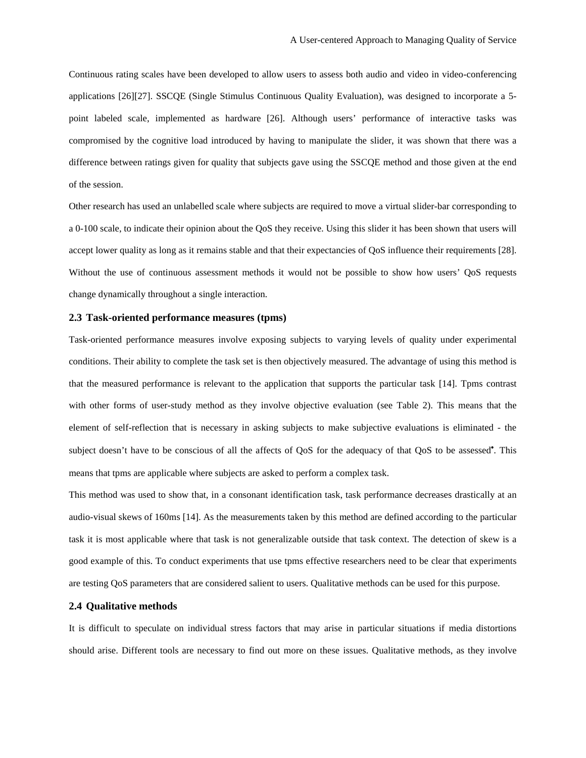Continuous rating scales have been developed to allow users to assess both audio and video in video-conferencing applications [26][27]. SSCQE (Single Stimulus Continuous Quality Evaluation), was designed to incorporate a 5 point labeled scale, implemented as hardware [26]. Although users' performance of interactive tasks was compromised by the cognitive load introduced by having to manipulate the slider, it was shown that there was a difference between ratings given for quality that subjects gave using the SSCQE method and those given at the end of the session.

Other research has used an unlabelled scale where subjects are required to move a virtual slider-bar corresponding to a 0-100 scale, to indicate their opinion about the QoS they receive. Using this slider it has been shown that users will accept lower quality as long as it remains stable and that their expectancies of QoS influence their requirements [28]. Without the use of continuous assessment methods it would not be possible to show how users' QoS requests change dynamically throughout a single interaction.

#### **2.3 Task-oriented performance measures (tpms)**

Task-oriented performance measures involve exposing subjects to varying levels of quality under experimental conditions. Their ability to complete the task set is then objectively measured. The advantage of using this method is that the measured performance is relevant to the application that supports the particular task [14]. Tpms contrast with other forms of user-study method as they involve objective evaluation (see Table 2). This means that the element of self-reflection that is necessary in asking subjects to make subjective evaluations is eliminated - the subject doesn't have to be conscious of all the affects of QoS for the adequacy of that QoS to be assessed. This means that tpms are applicable where subjects are asked to perform a complex task.

This method was used to show that, in a consonant identification task, task performance decreases drastically at an audio-visual skews of 160ms [14]. As the measurements taken by this method are defined according to the particular task it is most applicable where that task is not generalizable outside that task context. The detection of skew is a good example of this. To conduct experiments that use tpms effective researchers need to be clear that experiments are testing QoS parameters that are considered salient to users. Qualitative methods can be used for this purpose.

# **2.4 Qualitative methods**

It is difficult to speculate on individual stress factors that may arise in particular situations if media distortions should arise. Different tools are necessary to find out more on these issues. Qualitative methods, as they involve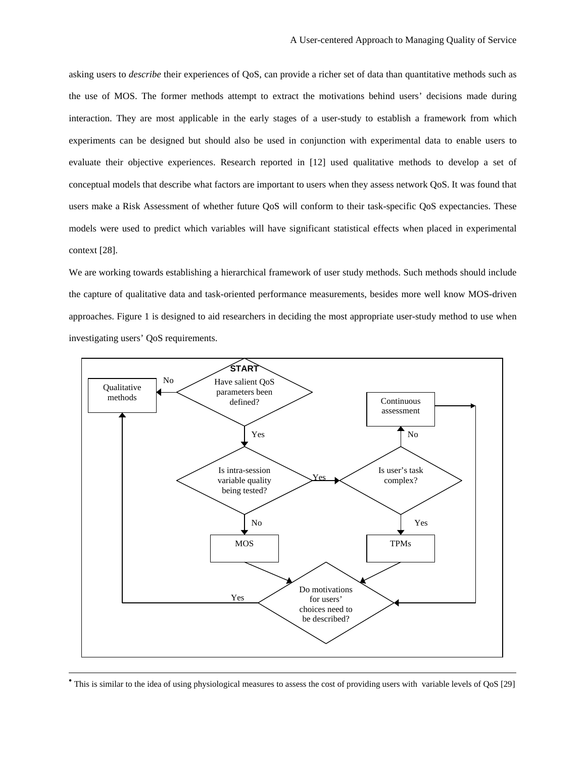asking users to *describe* their experiences of QoS, can provide a richer set of data than quantitative methods such as the use of MOS. The former methods attempt to extract the motivations behind users' decisions made during interaction. They are most applicable in the early stages of a user-study to establish a framework from which experiments can be designed but should also be used in conjunction with experimental data to enable users to evaluate their objective experiences. Research reported in [12] used qualitative methods to develop a set of conceptual models that describe what factors are important to users when they assess network QoS. It was found that users make a Risk Assessment of whether future QoS will conform to their task-specific QoS expectancies. These models were used to predict which variables will have significant statistical effects when placed in experimental context [28].

We are working towards establishing a hierarchical framework of user study methods. Such methods should include the capture of qualitative data and task-oriented performance measurements, besides more well know MOS-driven approaches. Figure 1 is designed to aid researchers in deciding the most appropriate user-study method to use when investigating users' QoS requirements.



<sup>•</sup> This is similar to the idea of using physiological measures to assess the cost of providing users with variable levels of QoS [29]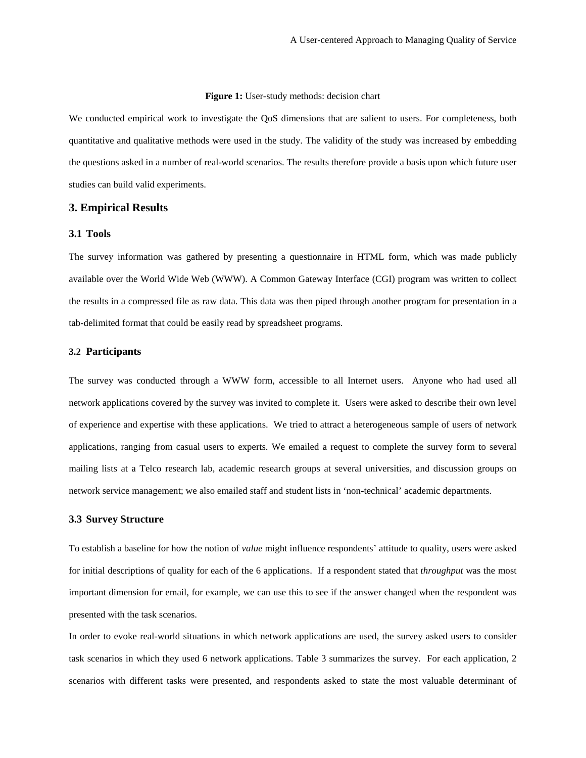#### **Figure 1:** User-study methods: decision chart

We conducted empirical work to investigate the QoS dimensions that are salient to users. For completeness, both quantitative and qualitative methods were used in the study. The validity of the study was increased by embedding the questions asked in a number of real-world scenarios. The results therefore provide a basis upon which future user studies can build valid experiments.

# **3. Empirical Results**

# **3.1 Tools**

The survey information was gathered by presenting a questionnaire in HTML form, which was made publicly available over the World Wide Web (WWW). A Common Gateway Interface (CGI) program was written to collect the results in a compressed file as raw data. This data was then piped through another program for presentation in a tab-delimited format that could be easily read by spreadsheet programs.

# **3.2 Participants**

The survey was conducted through a WWW form, accessible to all Internet users. Anyone who had used all network applications covered by the survey was invited to complete it. Users were asked to describe their own level of experience and expertise with these applications. We tried to attract a heterogeneous sample of users of network applications, ranging from casual users to experts. We emailed a request to complete the survey form to several mailing lists at a Telco research lab, academic research groups at several universities, and discussion groups on network service management; we also emailed staff and student lists in 'non-technical' academic departments.

## **3.3 Survey Structure**

To establish a baseline for how the notion of *value* might influence respondents' attitude to quality, users were asked for initial descriptions of quality for each of the 6 applications. If a respondent stated that *throughput* was the most important dimension for email, for example, we can use this to see if the answer changed when the respondent was presented with the task scenarios.

In order to evoke real-world situations in which network applications are used, the survey asked users to consider task scenarios in which they used 6 network applications. Table 3 summarizes the survey. For each application, 2 scenarios with different tasks were presented, and respondents asked to state the most valuable determinant of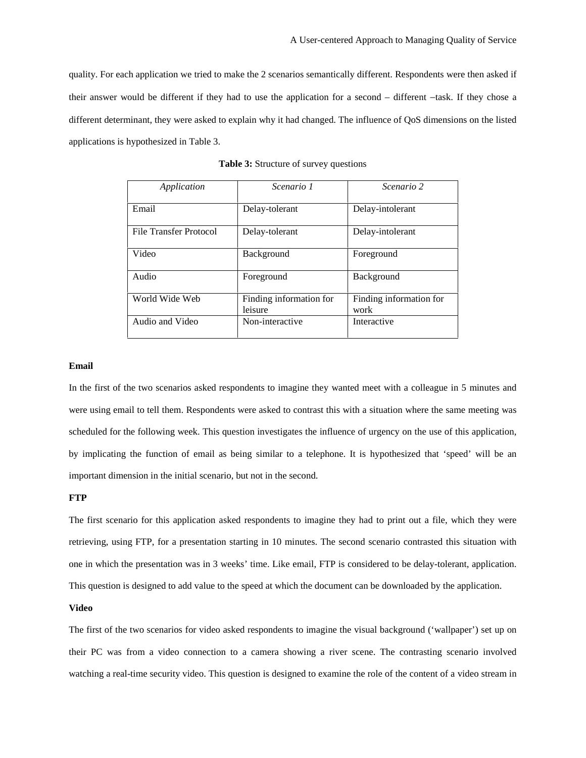quality. For each application we tried to make the 2 scenarios semantically different. Respondents were then asked if their answer would be different if they had to use the application for a second – different −task. If they chose a different determinant, they were asked to explain why it had changed. The influence of QoS dimensions on the listed applications is hypothesized in Table 3.

| Application            | Scenario 1                         | Scenario 2                      |  |
|------------------------|------------------------------------|---------------------------------|--|
| Email                  | Delay-tolerant                     | Delay-intolerant                |  |
| File Transfer Protocol | Delay-tolerant                     | Delay-intolerant                |  |
| Video                  | Background                         | Foreground                      |  |
| Audio                  | Foreground                         | Background                      |  |
| World Wide Web         | Finding information for<br>leisure | Finding information for<br>work |  |
| Audio and Video        | Non-interactive                    | Interactive                     |  |

**Table 3:** Structure of survey questions

#### **Email**

In the first of the two scenarios asked respondents to imagine they wanted meet with a colleague in 5 minutes and were using email to tell them. Respondents were asked to contrast this with a situation where the same meeting was scheduled for the following week. This question investigates the influence of urgency on the use of this application, by implicating the function of email as being similar to a telephone. It is hypothesized that 'speed' will be an important dimension in the initial scenario, but not in the second.

#### **FTP**

The first scenario for this application asked respondents to imagine they had to print out a file, which they were retrieving, using FTP, for a presentation starting in 10 minutes. The second scenario contrasted this situation with one in which the presentation was in 3 weeks' time. Like email, FTP is considered to be delay-tolerant, application. This question is designed to add value to the speed at which the document can be downloaded by the application.

#### **Video**

The first of the two scenarios for video asked respondents to imagine the visual background ('wallpaper') set up on their PC was from a video connection to a camera showing a river scene. The contrasting scenario involved watching a real-time security video. This question is designed to examine the role of the content of a video stream in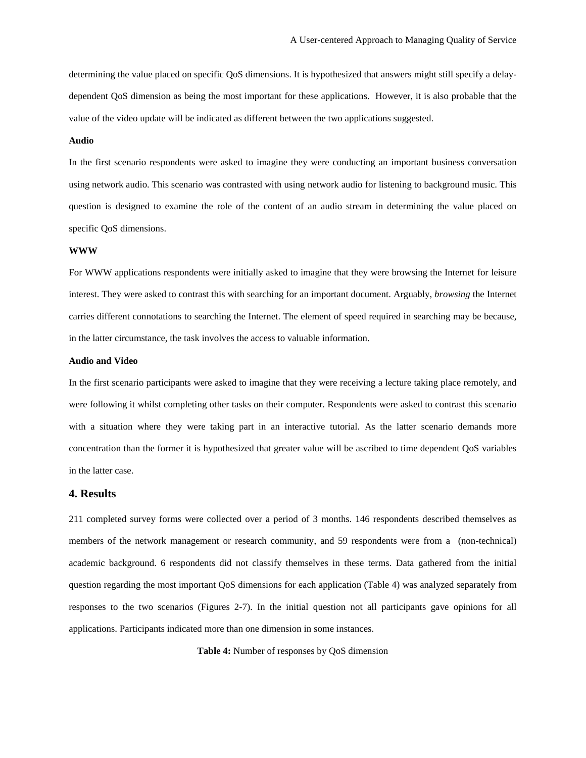determining the value placed on specific QoS dimensions. It is hypothesized that answers might still specify a delaydependent QoS dimension as being the most important for these applications. However, it is also probable that the value of the video update will be indicated as different between the two applications suggested.

#### **Audio**

In the first scenario respondents were asked to imagine they were conducting an important business conversation using network audio. This scenario was contrasted with using network audio for listening to background music. This question is designed to examine the role of the content of an audio stream in determining the value placed on specific QoS dimensions.

#### **WWW**

For WWW applications respondents were initially asked to imagine that they were browsing the Internet for leisure interest. They were asked to contrast this with searching for an important document. Arguably, *browsing* the Internet carries different connotations to searching the Internet. The element of speed required in searching may be because, in the latter circumstance, the task involves the access to valuable information.

#### **Audio and Video**

In the first scenario participants were asked to imagine that they were receiving a lecture taking place remotely, and were following it whilst completing other tasks on their computer. Respondents were asked to contrast this scenario with a situation where they were taking part in an interactive tutorial. As the latter scenario demands more concentration than the former it is hypothesized that greater value will be ascribed to time dependent QoS variables in the latter case.

#### **4. Results**

211 completed survey forms were collected over a period of 3 months. 146 respondents described themselves as members of the network management or research community, and 59 respondents were from a (non-technical) academic background. 6 respondents did not classify themselves in these terms. Data gathered from the initial question regarding the most important QoS dimensions for each application (Table 4) was analyzed separately from responses to the two scenarios (Figures 2-7). In the initial question not all participants gave opinions for all applications. Participants indicated more than one dimension in some instances.

**Table 4:** Number of responses by QoS dimension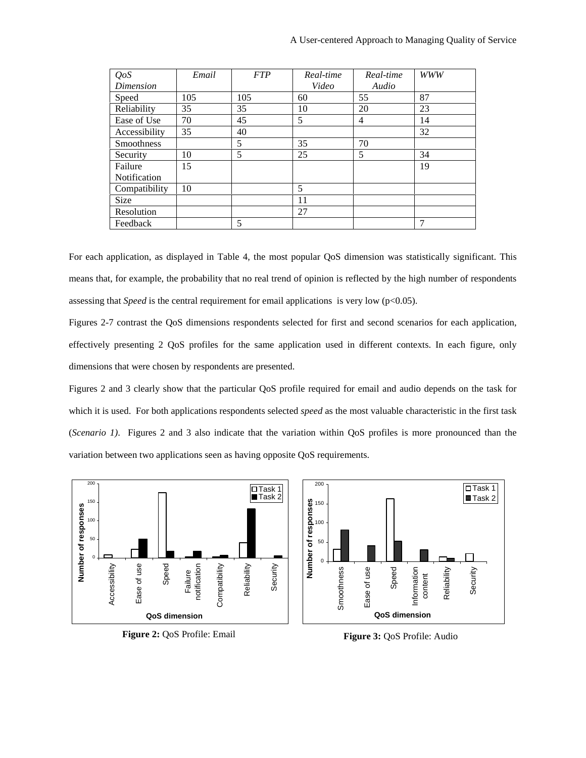| QoS<br><b>Dimension</b> | Email | <b>FTP</b> | Real-time<br>Video | Real-time<br>Audio | <b>WWW</b> |
|-------------------------|-------|------------|--------------------|--------------------|------------|
| Speed                   | 105   | 105        | 60                 | 55                 | 87         |
| Reliability             | 35    | 35         | 10                 | 20                 | 23         |
| Ease of Use             | 70    | 45         | 5                  | $\overline{4}$     | 14         |
| Accessibility           | 35    | 40         |                    |                    | 32         |
| <b>Smoothness</b>       |       | 5          | 35                 | 70                 |            |
| Security                | 10    | 5          | 25                 | 5                  | 34         |
| Failure                 | 15    |            |                    |                    | 19         |
| Notification            |       |            |                    |                    |            |
| Compatibility           | 10    |            | 5                  |                    |            |
| <b>Size</b>             |       |            | 11                 |                    |            |
| Resolution              |       |            | 27                 |                    |            |
| Feedback                |       | 5          |                    |                    | 7          |

For each application, as displayed in Table 4, the most popular QoS dimension was statistically significant. This means that, for example, the probability that no real trend of opinion is reflected by the high number of respondents assessing that *Speed* is the central requirement for email applications is very low (p<0.05).

Figures 2-7 contrast the QoS dimensions respondents selected for first and second scenarios for each application, effectively presenting 2 QoS profiles for the same application used in different contexts. In each figure, only dimensions that were chosen by respondents are presented.

Figures 2 and 3 clearly show that the particular QoS profile required for email and audio depends on the task for which it is used. For both applications respondents selected *speed* as the most valuable characteristic in the first task (*Scenario 1)*. Figures 2 and 3 also indicate that the variation within QoS profiles is more pronounced than the variation between two applications seen as having opposite QoS requirements.



**Figure 2:** QoS Profile: Email **Figure 3:** QoS Profile: Audio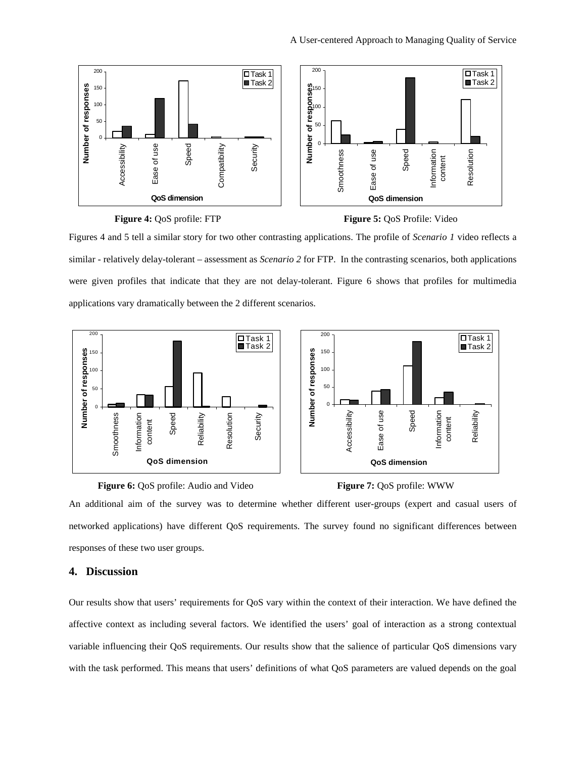





Figures 4 and 5 tell a similar story for two other contrasting applications. The profile of *Scenario 1* video reflects a similar - relatively delay-tolerant – assessment as *Scenario 2* for FTP. In the contrasting scenarios, both applications were given profiles that indicate that they are not delay-tolerant. Figure 6 shows that profiles for multimedia applications vary dramatically between the 2 different scenarios.









An additional aim of the survey was to determine whether different user-groups (expert and casual users of networked applications) have different QoS requirements. The survey found no significant differences between responses of these two user groups.

# **4. Discussion**

Our results show that users' requirements for QoS vary within the context of their interaction. We have defined the affective context as including several factors. We identified the users' goal of interaction as a strong contextual variable influencing their QoS requirements. Our results show that the salience of particular QoS dimensions vary with the task performed. This means that users' definitions of what QoS parameters are valued depends on the goal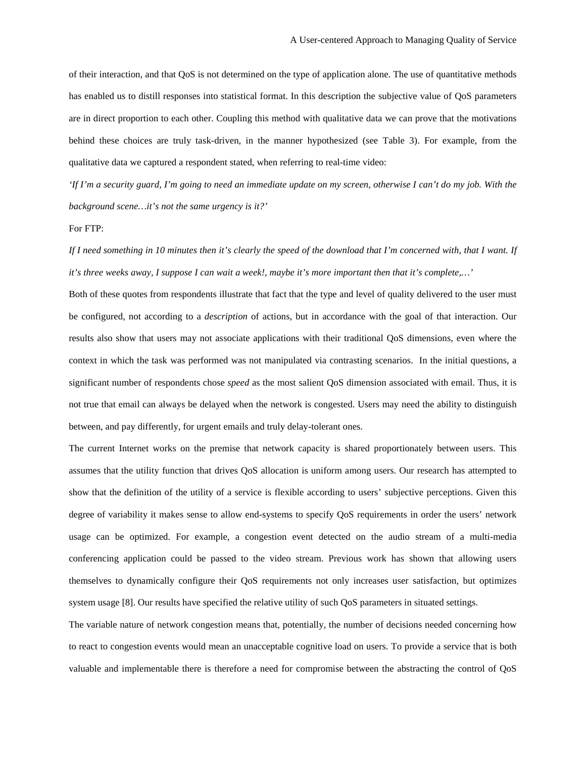of their interaction, and that QoS is not determined on the type of application alone. The use of quantitative methods has enabled us to distill responses into statistical format. In this description the subjective value of QoS parameters are in direct proportion to each other. Coupling this method with qualitative data we can prove that the motivations behind these choices are truly task-driven, in the manner hypothesized (see Table 3). For example, from the qualitative data we captured a respondent stated, when referring to real-time video:

*'If I'm a security guard, I'm going to need an immediate update on my screen, otherwise I can't do my job. With the background scene…it's not the same urgency is it?'*

#### For FTP:

*If I need something in 10 minutes then it's clearly the speed of the download that I'm concerned with, that I want. If it's three weeks away, I suppose I can wait a week!, maybe it's more important then that it's complete,…'*

Both of these quotes from respondents illustrate that fact that the type and level of quality delivered to the user must be configured, not according to a *description* of actions, but in accordance with the goal of that interaction. Our results also show that users may not associate applications with their traditional QoS dimensions, even where the context in which the task was performed was not manipulated via contrasting scenarios. In the initial questions, a significant number of respondents chose *speed* as the most salient QoS dimension associated with email. Thus, it is not true that email can always be delayed when the network is congested. Users may need the ability to distinguish between, and pay differently, for urgent emails and truly delay-tolerant ones.

The current Internet works on the premise that network capacity is shared proportionately between users. This assumes that the utility function that drives QoS allocation is uniform among users. Our research has attempted to show that the definition of the utility of a service is flexible according to users' subjective perceptions. Given this degree of variability it makes sense to allow end-systems to specify QoS requirements in order the users' network usage can be optimized. For example, a congestion event detected on the audio stream of a multi-media conferencing application could be passed to the video stream. Previous work has shown that allowing users themselves to dynamically configure their QoS requirements not only increases user satisfaction, but optimizes system usage [8]. Our results have specified the relative utility of such QoS parameters in situated settings.

The variable nature of network congestion means that, potentially, the number of decisions needed concerning how to react to congestion events would mean an unacceptable cognitive load on users. To provide a service that is both valuable and implementable there is therefore a need for compromise between the abstracting the control of QoS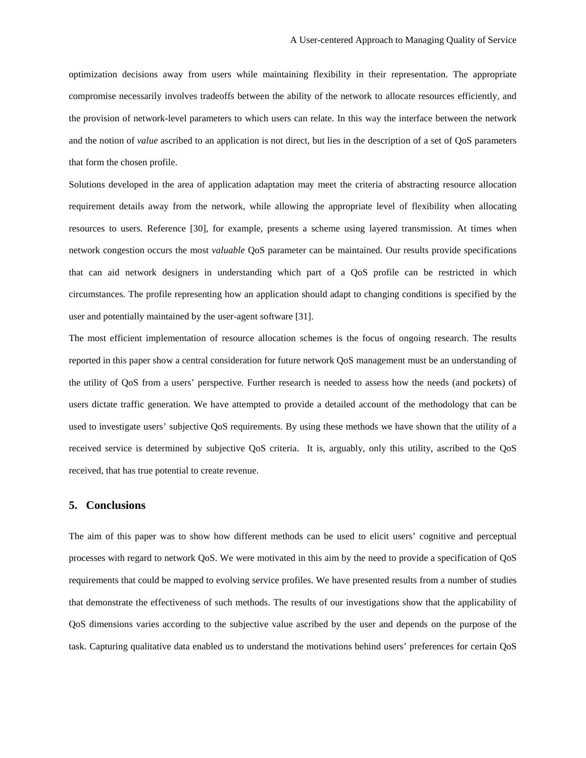optimization decisions away from users while maintaining flexibility in their representation. The appropriate compromise necessarily involves tradeoffs between the ability of the network to allocate resources efficiently, and the provision of network-level parameters to which users can relate. In this way the interface between the network and the notion of *value* ascribed to an application is not direct, but lies in the description of a set of QoS parameters that form the chosen profile.

Solutions developed in the area of application adaptation may meet the criteria of abstracting resource allocation requirement details away from the network, while allowing the appropriate level of flexibility when allocating resources to users. Reference [30], for example, presents a scheme using layered transmission. At times when network congestion occurs the most *valuable* QoS parameter can be maintained. Our results provide specifications that can aid network designers in understanding which part of a QoS profile can be restricted in which circumstances. The profile representing how an application should adapt to changing conditions is specified by the user and potentially maintained by the user-agent software [31].

The most efficient implementation of resource allocation schemes is the focus of ongoing research. The results reported in this paper show a central consideration for future network QoS management must be an understanding of the utility of QoS from a users' perspective. Further research is needed to assess how the needs (and pockets) of users dictate traffic generation. We have attempted to provide a detailed account of the methodology that can be used to investigate users' subjective QoS requirements. By using these methods we have shown that the utility of a received service is determined by subjective QoS criteria. It is, arguably, only this utility, ascribed to the QoS received, that has true potential to create revenue.

#### **5. Conclusions**

The aim of this paper was to show how different methods can be used to elicit users' cognitive and perceptual processes with regard to network QoS. We were motivated in this aim by the need to provide a specification of QoS requirements that could be mapped to evolving service profiles. We have presented results from a number of studies that demonstrate the effectiveness of such methods. The results of our investigations show that the applicability of QoS dimensions varies according to the subjective value ascribed by the user and depends on the purpose of the task. Capturing qualitative data enabled us to understand the motivations behind users' preferences for certain QoS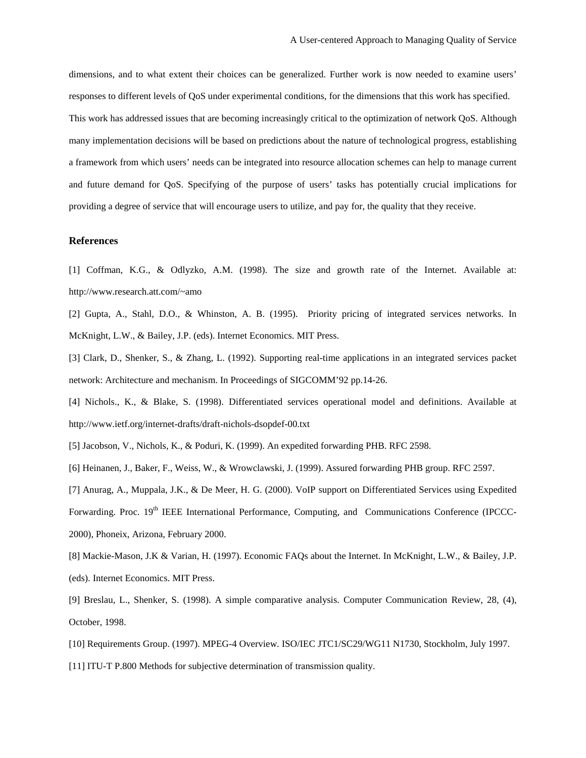dimensions, and to what extent their choices can be generalized. Further work is now needed to examine users' responses to different levels of QoS under experimental conditions, for the dimensions that this work has specified. This work has addressed issues that are becoming increasingly critical to the optimization of network QoS. Although many implementation decisions will be based on predictions about the nature of technological progress, establishing a framework from which users' needs can be integrated into resource allocation schemes can help to manage current and future demand for QoS. Specifying of the purpose of users' tasks has potentially crucial implications for providing a degree of service that will encourage users to utilize, and pay for, the quality that they receive.

#### **References**

[1] Coffman, K.G., & Odlyzko, A.M. (1998). The size and growth rate of the Internet. Available at: http://www.research.att.com/~amo

[2] Gupta, A., Stahl, D.O., & Whinston, A. B. (1995). Priority pricing of integrated services networks. In McKnight, L.W., & Bailey, J.P. (eds). Internet Economics. MIT Press.

[3] Clark, D., Shenker, S., & Zhang, L. (1992). Supporting real-time applications in an integrated services packet network: Architecture and mechanism. In Proceedings of SIGCOMM'92 pp.14-26.

[4] Nichols., K., & Blake, S. (1998). Differentiated services operational model and definitions. Available at http://www.ietf.org/internet-drafts/draft-nichols-dsopdef-00.txt

- [5] Jacobson, V., Nichols, K., & Poduri, K. (1999). An expedited forwarding PHB. RFC 2598.
- [6] Heinanen, J., Baker, F., Weiss, W., & Wrowclawski, J. (1999). Assured forwarding PHB group. RFC 2597.

[7] Anurag, A., Muppala, J.K., & De Meer, H. G. (2000). VoIP support on Differentiated Services using Expedited Forwarding. Proc. 19<sup>th</sup> IEEE International Performance, Computing, and Communications Conference (IPCCC-2000), Phoneix, Arizona, February 2000.

- [8] Mackie-Mason, J.K & Varian, H. (1997). Economic FAQs about the Internet. In McKnight, L.W., & Bailey, J.P. (eds). Internet Economics. MIT Press.
- [9] Breslau, L., Shenker, S. (1998). A simple comparative analysis. Computer Communication Review, 28, (4), October, 1998.
- [10] Requirements Group. (1997). MPEG-4 Overview. ISO/IEC JTC1/SC29/WG11 N1730, Stockholm, July 1997.
- [11] ITU-T P.800 Methods for subjective determination of transmission quality.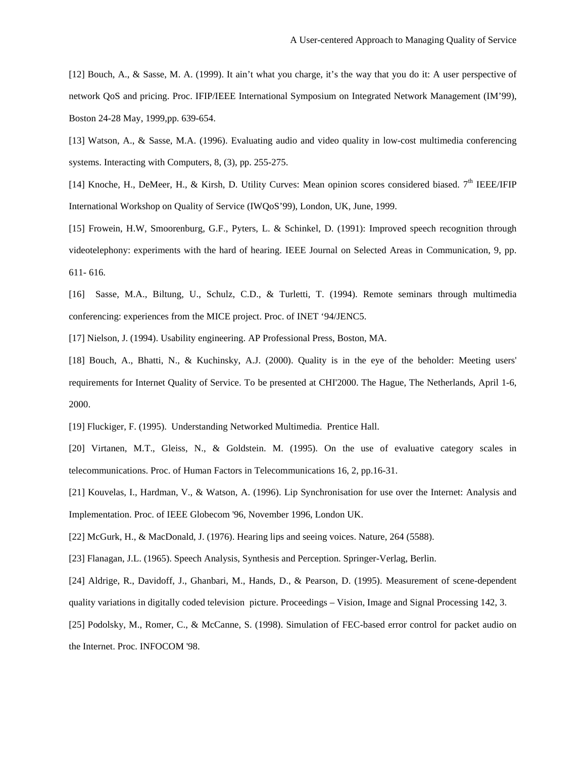[12] Bouch, A., & Sasse, M. A. (1999). It ain't what you charge, it's the way that you do it: A user perspective of network QoS and pricing. Proc. IFIP/IEEE International Symposium on Integrated Network Management (IM'99), Boston 24-28 May, 1999,pp. 639-654.

[13] Watson, A., & Sasse, M.A. (1996). Evaluating audio and video quality in low-cost multimedia conferencing systems. Interacting with Computers, 8, (3), pp. 255-275.

[14] Knoche, H., DeMeer, H., & Kirsh, D. Utility Curves: Mean opinion scores considered biased. 7<sup>th</sup> IEEE/IFIP International Workshop on Quality of Service (IWQoS'99), London, UK, June, 1999.

[15] Frowein, H.W, Smoorenburg, G.F., Pyters, L. & Schinkel, D. (1991): Improved speech recognition through videotelephony: experiments with the hard of hearing. IEEE Journal on Selected Areas in Communication, 9, pp. 611- 616.

[16] Sasse, M.A., Biltung, U., Schulz, C.D., & Turletti, T. (1994). Remote seminars through multimedia conferencing: experiences from the MICE project. Proc. of INET '94/JENC5.

[17] Nielson, J. (1994). Usability engineering. AP Professional Press, Boston, MA.

[18] Bouch, A., Bhatti, N., & Kuchinsky, A.J. (2000). Quality is in the eye of the beholder: Meeting users' requirements for Internet Quality of Service. To be presented at CHI'2000. The Hague, The Netherlands, April 1-6, 2000.

[19] Fluckiger, F. (1995). Understanding Networked Multimedia. Prentice Hall.

[20] Virtanen, M.T., Gleiss, N., & Goldstein. M. (1995). On the use of evaluative category scales in telecommunications. Proc. of Human Factors in Telecommunications 16, 2, pp.16-31.

[21] Kouvelas, I., Hardman, V., & Watson, A. (1996). Lip Synchronisation for use over the Internet: Analysis and Implementation. Proc. of IEEE Globecom '96, November 1996, London UK.

[22] McGurk, H., & MacDonald, J. (1976). Hearing lips and seeing voices. Nature, 264 (5588).

[23] Flanagan, J.L. (1965). Speech Analysis, Synthesis and Perception. Springer-Verlag, Berlin.

[24] Aldrige, R., Davidoff, J., Ghanbari, M., Hands, D., & Pearson, D. (1995). Measurement of scene-dependent quality variations in digitally coded television picture. Proceedings – Vision, Image and Signal Processing 142, 3.

[25] Podolsky, M., Romer, C., & McCanne, S. (1998). Simulation of FEC-based error control for packet audio on the Internet. Proc. INFOCOM '98.